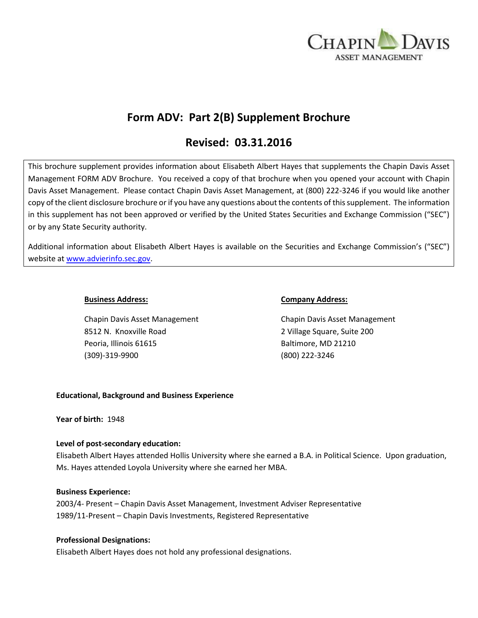

# **Form ADV: Part 2(B) Supplement Brochure**

# **Revised: 03.31.2016**

This brochure supplement provides information about Elisabeth Albert Hayes that supplements the Chapin Davis Asset Management FORM ADV Brochure. You received a copy of that brochure when you opened your account with Chapin Davis Asset Management. Please contact Chapin Davis Asset Management, at (800) 222-3246 if you would like another copy of the client disclosure brochure or if you have any questions about the contents of this supplement. The information in this supplement has not been approved or verified by the United States Securities and Exchange Commission ("SEC") or by any State Security authority.

Additional information about Elisabeth Albert Hayes is available on the Securities and Exchange Commission's ("SEC") website at [www.advierinfo.sec.gov.](http://www.advierinfo.sec.gov/)

Chapin Davis Asset Management Chapin Davis Asset Management 8512 N. Knoxville Road 2 Village Square, Suite 200 Peoria, Illinois 61615 Baltimore, MD 21210 (309)-319-9900 (800) 222-3246

#### **Business Address: Company Address:**

# **Educational, Background and Business Experience**

**Year of birth:** 1948

# **Level of post-secondary education:**

Elisabeth Albert Hayes attended Hollis University where she earned a B.A. in Political Science. Upon graduation, Ms. Hayes attended Loyola University where she earned her MBA.

# **Business Experience:**

2003/4- Present – Chapin Davis Asset Management, Investment Adviser Representative 1989/11-Present – Chapin Davis Investments, Registered Representative

# **Professional Designations:**

Elisabeth Albert Hayes does not hold any professional designations.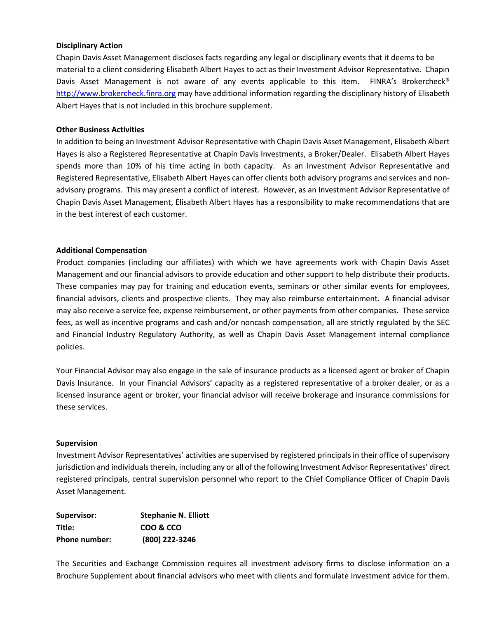#### **Disciplinary Action**

Chapin Davis Asset Management discloses facts regarding any legal or disciplinary events that it deems to be material to a client considering Elisabeth Albert Hayes to act as their Investment Advisor Representative. Chapin Davis Asset Management is not aware of any events applicable to this item. FINRA's Brokercheck® [http://www.brokercheck.finra.org](http://www.brokercheck.finra.org/) may have additional information regarding the disciplinary history of Elisabeth Albert Hayes that is not included in this brochure supplement.

#### **Other Business Activities**

In addition to being an Investment Advisor Representative with Chapin Davis Asset Management, Elisabeth Albert Hayes is also a Registered Representative at Chapin Davis Investments, a Broker/Dealer. Elisabeth Albert Hayes spends more than 10% of his time acting in both capacity. As an Investment Advisor Representative and Registered Representative, Elisabeth Albert Hayes can offer clients both advisory programs and services and nonadvisory programs. This may present a conflict of interest. However, as an Investment Advisor Representative of Chapin Davis Asset Management, Elisabeth Albert Hayes has a responsibility to make recommendations that are in the best interest of each customer.

#### **Additional Compensation**

Product companies (including our affiliates) with which we have agreements work with Chapin Davis Asset Management and our financial advisors to provide education and other support to help distribute their products. These companies may pay for training and education events, seminars or other similar events for employees, financial advisors, clients and prospective clients. They may also reimburse entertainment. A financial advisor may also receive a service fee, expense reimbursement, or other payments from other companies. These service fees, as well as incentive programs and cash and/or noncash compensation, all are strictly regulated by the SEC and Financial Industry Regulatory Authority, as well as Chapin Davis Asset Management internal compliance policies.

Your Financial Advisor may also engage in the sale of insurance products as a licensed agent or broker of Chapin Davis Insurance. In your Financial Advisors' capacity as a registered representative of a broker dealer, or as a licensed insurance agent or broker, your financial advisor will receive brokerage and insurance commissions for these services.

#### **Supervision**

Investment Advisor Representatives' activities are supervised by registered principals in their office of supervisory jurisdiction and individuals therein, including any or all of the following Investment Advisor Representatives' direct registered principals, central supervision personnel who report to the Chief Compliance Officer of Chapin Davis Asset Management.

| Supervisor:   | <b>Stephanie N. Elliott</b> |
|---------------|-----------------------------|
| Title:        | COO & CCO                   |
| Phone number: | (800) 222-3246              |

The Securities and Exchange Commission requires all investment advisory firms to disclose information on a Brochure Supplement about financial advisors who meet with clients and formulate investment advice for them.